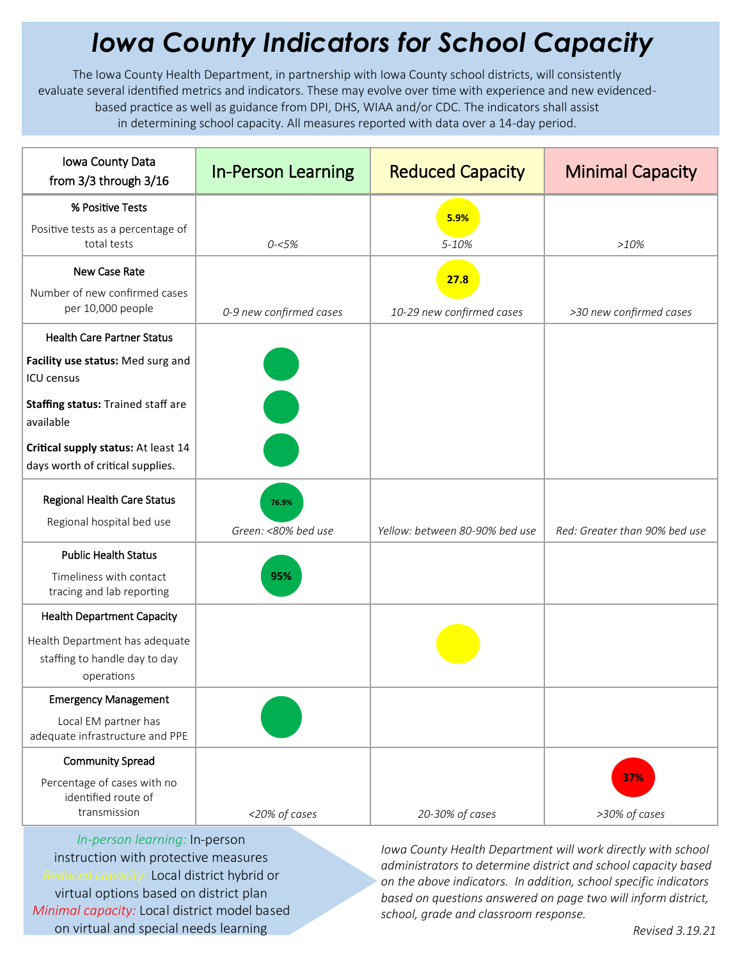## *Iowa County Indicators for School Capacity*

The Iowa County Health Department, in partnership with Iowa County school districts, will consistently evaluate several identified metrics and indicators. These may evolve over time with experience and new evidencedbased practice as well as guidance from DPI, DHS, WIAA and/or CDC. The indicators shall assist in determining school capacity. All measures reported with data over a 14-day period.

| Iowa County Data<br>from 3/3 through 3/16                                     | <b>In-Person Learning</b> | <b>Reduced Capacity</b>        | <b>Minimal Capacity</b>       |
|-------------------------------------------------------------------------------|---------------------------|--------------------------------|-------------------------------|
| % Positive Tests                                                              |                           | 5.9%                           |                               |
| Positive tests as a percentage of<br>total tests                              | $0 - 5\%$                 | $5 - 10%$                      | $>10\%$                       |
| New Case Rate                                                                 |                           | 27.8                           |                               |
| Number of new confirmed cases<br>per 10,000 people                            | 0-9 new confirmed cases   | 10-29 new confirmed cases      | >30 new confirmed cases       |
| <b>Health Care Partner Status</b>                                             |                           |                                |                               |
| Facility use status: Med surg and<br><b>ICU</b> census                        |                           |                                |                               |
| Staffing status: Trained staff are<br>available                               |                           |                                |                               |
| Critical supply status: At least 14<br>days worth of critical supplies.       |                           |                                |                               |
| <b>Regional Health Care Status</b>                                            | 76.9%                     |                                |                               |
| Regional hospital bed use                                                     | Green: <80% bed use       | Yellow: between 80-90% bed use | Red: Greater than 90% bed use |
| <b>Public Health Status</b>                                                   |                           |                                |                               |
| Timeliness with contact<br>tracing and lab reporting                          | 95%                       |                                |                               |
| <b>Health Department Capacity</b>                                             |                           |                                |                               |
| Health Department has adequate<br>staffing to handle day to day<br>operations |                           |                                |                               |
| <b>Emergency Management</b>                                                   |                           |                                |                               |
| Local EM partner has<br>adequate infrastructure and PPE                       |                           |                                |                               |
| <b>Community Spread</b>                                                       |                           |                                |                               |
| Percentage of cases with no<br>identified route of<br>transmission            |                           |                                | 37%                           |
|                                                                               | <20% of cases             | 20-30% of cases                | >30% of cases                 |

*In-person learning:* In-person instruction with protective measures *Reduced capacity:* Local district hybrid or virtual options based on district plan *Minimal capacity:* Local district model based on virtual and special needs learning

*Iowa County Health Department will work directly with school administrators to determine district and school capacity based on the above indicators. In addition, school specific indicators based on questions answered on page two will inform district, school, grade and classroom response.*